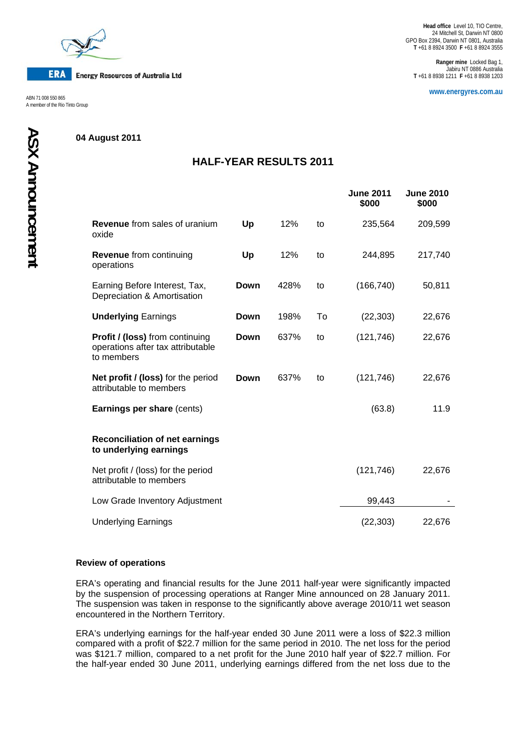

**ERA Energy Resources of Australia Ltd** 

A member of the Rio Tinto Group

# **04 August 2011**

# **HALF-YEAR RESULTS 2011**

|                                                                                           |      |      |    | <b>June 2011</b><br>\$000 | <b>June 2010</b><br>\$000 |
|-------------------------------------------------------------------------------------------|------|------|----|---------------------------|---------------------------|
| <b>Revenue</b> from sales of uranium<br>oxide                                             | Up   | 12%  | to | 235,564                   | 209,599                   |
| <b>Revenue</b> from continuing<br>operations                                              | Up   | 12%  | to | 244,895                   | 217,740                   |
| Earning Before Interest, Tax,<br>Depreciation & Amortisation                              | Down | 428% | to | (166, 740)                | 50,811                    |
| <b>Underlying Earnings</b>                                                                | Down | 198% | To | (22, 303)                 | 22,676                    |
| <b>Profit / (loss)</b> from continuing<br>operations after tax attributable<br>to members | Down | 637% | to | (121, 746)                | 22,676                    |
| Net profit / (loss) for the period<br>attributable to members                             | Down | 637% | to | (121, 746)                | 22,676                    |
| Earnings per share (cents)                                                                |      |      |    | (63.8)                    | 11.9                      |
| <b>Reconciliation of net earnings</b><br>to underlying earnings                           |      |      |    |                           |                           |
| Net profit / (loss) for the period<br>attributable to members                             |      |      |    | (121, 746)                | 22,676                    |
| Low Grade Inventory Adjustment                                                            |      |      |    | 99,443                    |                           |
| <b>Underlying Earnings</b>                                                                |      |      |    | (22, 303)                 | 22,676                    |

### **Review of operations**

ERA's operating and financial results for the June 2011 half-year were significantly impacted by the suspension of processing operations at Ranger Mine announced on 28 January 2011. The suspension was taken in response to the significantly above average 2010/11 wet season encountered in the Northern Territory.

ERA's underlying earnings for the half-year ended 30 June 2011 were a loss of \$22.3 million compared with a profit of \$22.7 million for the same period in 2010. The net loss for the period was \$121.7 million, compared to a net profit for the June 2010 half year of \$22.7 million. For the half-year ended 30 June 2011, underlying earnings differed from the net loss due to the

**Ranger mine** Locked Bag 1, Jabiru NT 0886 Australia **T** +61 8 8938 1211 **F** +61 8 8938 1203

**www.energyres.com.au** ABN 71 008 550 865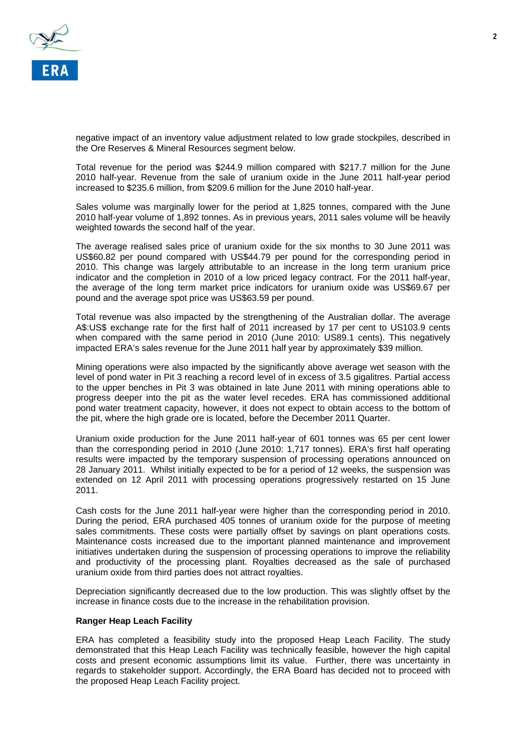

negative impact of an inventory value adjustment related to low grade stockpiles, described in the Ore Reserves & Mineral Resources segment below.

Total revenue for the period was \$244.9 million compared with \$217.7 million for the June 2010 half-year. Revenue from the sale of uranium oxide in the June 2011 half-year period increased to \$235.6 million, from \$209.6 million for the June 2010 half-year.

Sales volume was marginally lower for the period at 1,825 tonnes, compared with the June 2010 half-year volume of 1,892 tonnes. As in previous years, 2011 sales volume will be heavily weighted towards the second half of the year.

The average realised sales price of uranium oxide for the six months to 30 June 2011 was US\$60.82 per pound compared with US\$44.79 per pound for the corresponding period in 2010. This change was largely attributable to an increase in the long term uranium price indicator and the completion in 2010 of a low priced legacy contract. For the 2011 half-year, the average of the long term market price indicators for uranium oxide was US\$69.67 per pound and the average spot price was US\$63.59 per pound.

Total revenue was also impacted by the strengthening of the Australian dollar. The average A\$:US\$ exchange rate for the first half of 2011 increased by 17 per cent to US103.9 cents when compared with the same period in 2010 (June 2010: US89.1 cents). This negatively impacted ERA's sales revenue for the June 2011 half year by approximately \$39 million.

Mining operations were also impacted by the significantly above average wet season with the level of pond water in Pit 3 reaching a record level of in excess of 3.5 gigalitres. Partial access to the upper benches in Pit 3 was obtained in late June 2011 with mining operations able to progress deeper into the pit as the water level recedes. ERA has commissioned additional pond water treatment capacity, however, it does not expect to obtain access to the bottom of the pit, where the high grade ore is located, before the December 2011 Quarter.

Uranium oxide production for the June 2011 half-year of 601 tonnes was 65 per cent lower than the corresponding period in 2010 (June 2010: 1,717 tonnes). ERA's first half operating results were impacted by the temporary suspension of processing operations announced on 28 January 2011. Whilst initially expected to be for a period of 12 weeks, the suspension was extended on 12 April 2011 with processing operations progressively restarted on 15 June 2011.

Cash costs for the June 2011 half-year were higher than the corresponding period in 2010. During the period, ERA purchased 405 tonnes of uranium oxide for the purpose of meeting sales commitments. These costs were partially offset by savings on plant operations costs. Maintenance costs increased due to the important planned maintenance and improvement initiatives undertaken during the suspension of processing operations to improve the reliability and productivity of the processing plant. Royalties decreased as the sale of purchased uranium oxide from third parties does not attract royalties.

Depreciation significantly decreased due to the low production. This was slightly offset by the increase in finance costs due to the increase in the rehabilitation provision.

### **Ranger Heap Leach Facility**

ERA has completed a feasibility study into the proposed Heap Leach Facility. The study demonstrated that this Heap Leach Facility was technically feasible, however the high capital costs and present economic assumptions limit its value. Further, there was uncertainty in regards to stakeholder support. Accordingly, the ERA Board has decided not to proceed with the proposed Heap Leach Facility project.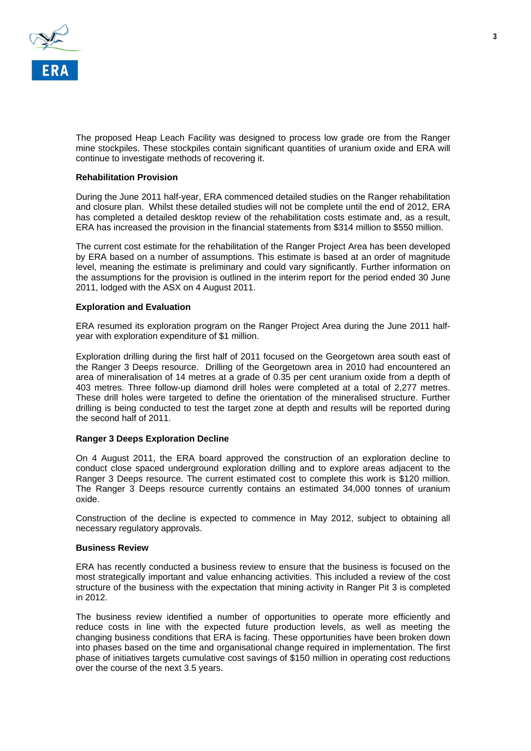

The proposed Heap Leach Facility was designed to process low grade ore from the Ranger mine stockpiles. These stockpiles contain significant quantities of uranium oxide and ERA will continue to investigate methods of recovering it.

# **Rehabilitation Provision**

During the June 2011 half-year, ERA commenced detailed studies on the Ranger rehabilitation and closure plan. Whilst these detailed studies will not be complete until the end of 2012, ERA has completed a detailed desktop review of the rehabilitation costs estimate and, as a result, ERA has increased the provision in the financial statements from \$314 million to \$550 million.

The current cost estimate for the rehabilitation of the Ranger Project Area has been developed by ERA based on a number of assumptions. This estimate is based at an order of magnitude level, meaning the estimate is preliminary and could vary significantly. Further information on the assumptions for the provision is outlined in the interim report for the period ended 30 June 2011, lodged with the ASX on 4 August 2011.

### **Exploration and Evaluation**

ERA resumed its exploration program on the Ranger Project Area during the June 2011 halfyear with exploration expenditure of \$1 million.

Exploration drilling during the first half of 2011 focused on the Georgetown area south east of the Ranger 3 Deeps resource. Drilling of the Georgetown area in 2010 had encountered an area of mineralisation of 14 metres at a grade of 0.35 per cent uranium oxide from a depth of 403 metres. Three follow-up diamond drill holes were completed at a total of 2,277 metres. These drill holes were targeted to define the orientation of the mineralised structure. Further drilling is being conducted to test the target zone at depth and results will be reported during the second half of 2011.

### **Ranger 3 Deeps Exploration Decline**

On 4 August 2011, the ERA board approved the construction of an exploration decline to conduct close spaced underground exploration drilling and to explore areas adjacent to the Ranger 3 Deeps resource. The current estimated cost to complete this work is \$120 million. The Ranger 3 Deeps resource currently contains an estimated 34,000 tonnes of uranium oxide.

Construction of the decline is expected to commence in May 2012, subject to obtaining all necessary regulatory approvals.

### **Business Review**

ERA has recently conducted a business review to ensure that the business is focused on the most strategically important and value enhancing activities. This included a review of the cost structure of the business with the expectation that mining activity in Ranger Pit 3 is completed in 2012.

The business review identified a number of opportunities to operate more efficiently and reduce costs in line with the expected future production levels, as well as meeting the changing business conditions that ERA is facing. These opportunities have been broken down into phases based on the time and organisational change required in implementation. The first phase of initiatives targets cumulative cost savings of \$150 million in operating cost reductions over the course of the next 3.5 years.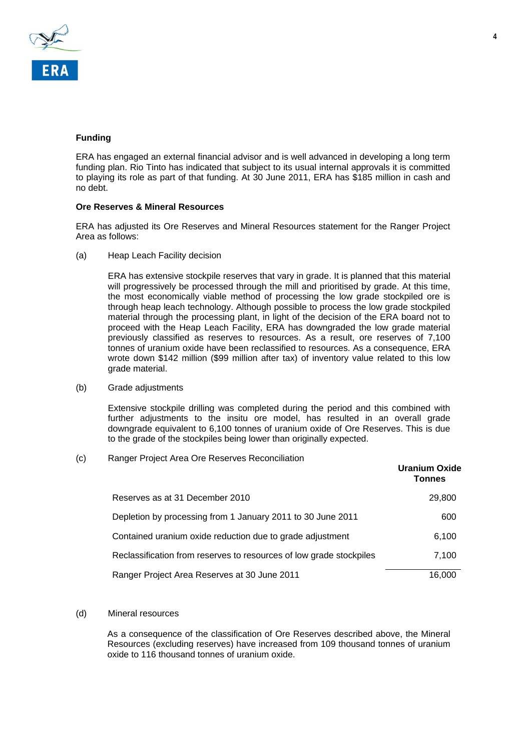

# **Funding**

ERA has engaged an external financial advisor and is well advanced in developing a long term funding plan. Rio Tinto has indicated that subject to its usual internal approvals it is committed to playing its role as part of that funding. At 30 June 2011, ERA has \$185 million in cash and no debt.

#### **Ore Reserves & Mineral Resources**

ERA has adjusted its Ore Reserves and Mineral Resources statement for the Ranger Project Area as follows:

(a) Heap Leach Facility decision

ERA has extensive stockpile reserves that vary in grade. It is planned that this material will progressively be processed through the mill and prioritised by grade. At this time, the most economically viable method of processing the low grade stockpiled ore is through heap leach technology. Although possible to process the low grade stockpiled material through the processing plant, in light of the decision of the ERA board not to proceed with the Heap Leach Facility, ERA has downgraded the low grade material previously classified as reserves to resources. As a result, ore reserves of 7,100 tonnes of uranium oxide have been reclassified to resources. As a consequence, ERA wrote down \$142 million (\$99 million after tax) of inventory value related to this low grade material.

(b) Grade adjustments

Extensive stockpile drilling was completed during the period and this combined with further adjustments to the insitu ore model, has resulted in an overall grade downgrade equivalent to 6,100 tonnes of uranium oxide of Ore Reserves. This is due to the grade of the stockpiles being lower than originally expected.

(c) Ranger Project Area Ore Reserves Reconciliation

|                                                                     | <b>Uranium Oxide</b><br>Tonnes |
|---------------------------------------------------------------------|--------------------------------|
| Reserves as at 31 December 2010                                     | 29,800                         |
| Depletion by processing from 1 January 2011 to 30 June 2011         | 600                            |
| Contained uranium oxide reduction due to grade adjustment           | 6,100                          |
| Reclassification from reserves to resources of low grade stockpiles | 7,100                          |
| Ranger Project Area Reserves at 30 June 2011                        | 16.000                         |

(d) Mineral resources

As a consequence of the classification of Ore Reserves described above, the Mineral Resources (excluding reserves) have increased from 109 thousand tonnes of uranium oxide to 116 thousand tonnes of uranium oxide.